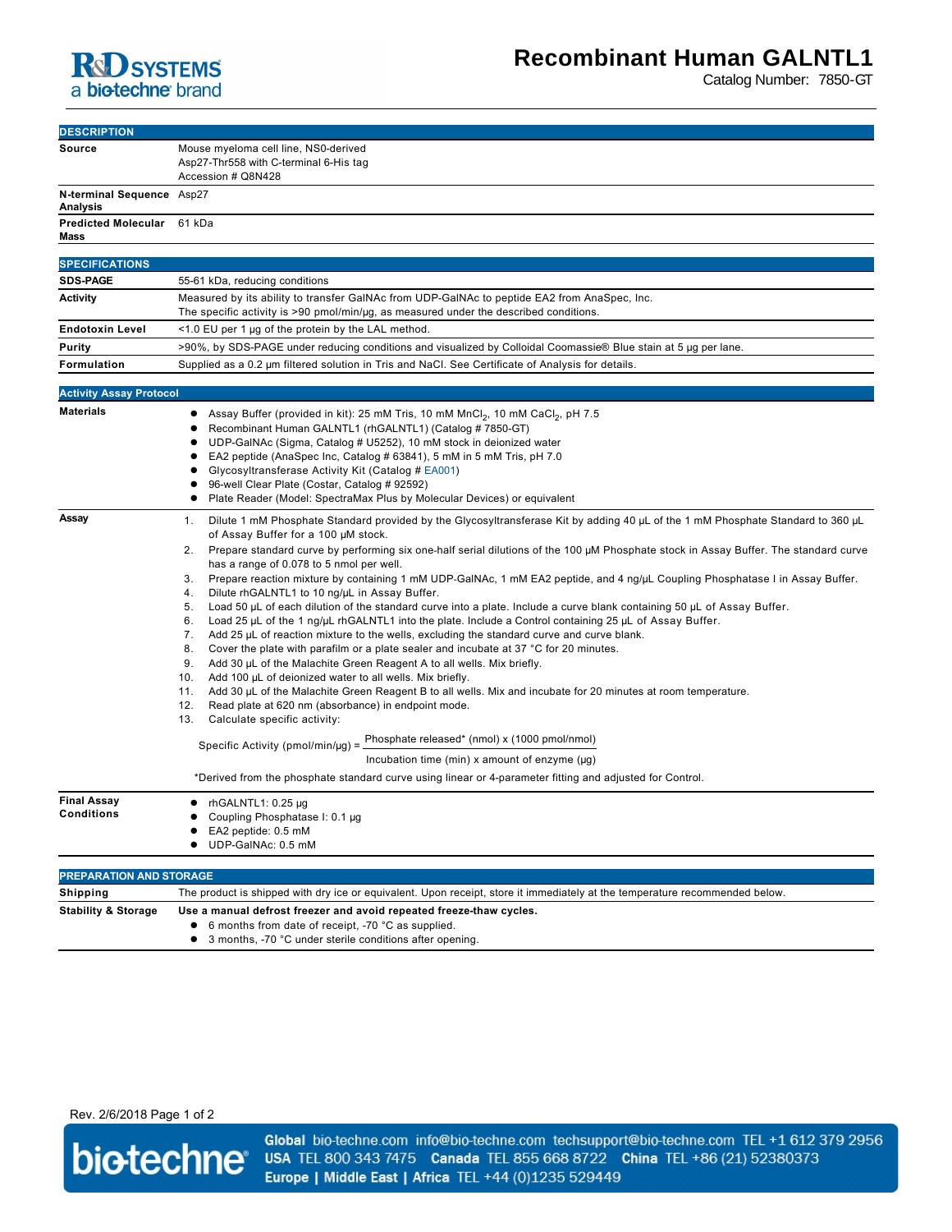

Catalog Number: 7850-GT

| <b>DESCRIPTION</b>                      |                                                                                                                                                                                                                                                                                                                                                                                                                                                                                                                                                                                                                                                                                                                                                                                                                                                                                                                                                                                                                                                                                                                                                                                                                                                                                                                                                                                                                                                                                                                                                                                                                                                                    |
|-----------------------------------------|--------------------------------------------------------------------------------------------------------------------------------------------------------------------------------------------------------------------------------------------------------------------------------------------------------------------------------------------------------------------------------------------------------------------------------------------------------------------------------------------------------------------------------------------------------------------------------------------------------------------------------------------------------------------------------------------------------------------------------------------------------------------------------------------------------------------------------------------------------------------------------------------------------------------------------------------------------------------------------------------------------------------------------------------------------------------------------------------------------------------------------------------------------------------------------------------------------------------------------------------------------------------------------------------------------------------------------------------------------------------------------------------------------------------------------------------------------------------------------------------------------------------------------------------------------------------------------------------------------------------------------------------------------------------|
| Source                                  | Mouse myeloma cell line, NS0-derived<br>Asp27-Thr558 with C-terminal 6-His tag<br>Accession # Q8N428                                                                                                                                                                                                                                                                                                                                                                                                                                                                                                                                                                                                                                                                                                                                                                                                                                                                                                                                                                                                                                                                                                                                                                                                                                                                                                                                                                                                                                                                                                                                                               |
| N-terminal Sequence Asp27<br>Analysis   |                                                                                                                                                                                                                                                                                                                                                                                                                                                                                                                                                                                                                                                                                                                                                                                                                                                                                                                                                                                                                                                                                                                                                                                                                                                                                                                                                                                                                                                                                                                                                                                                                                                                    |
| <b>Predicted Molecular</b><br>Mass      | 61 kDa                                                                                                                                                                                                                                                                                                                                                                                                                                                                                                                                                                                                                                                                                                                                                                                                                                                                                                                                                                                                                                                                                                                                                                                                                                                                                                                                                                                                                                                                                                                                                                                                                                                             |
|                                         |                                                                                                                                                                                                                                                                                                                                                                                                                                                                                                                                                                                                                                                                                                                                                                                                                                                                                                                                                                                                                                                                                                                                                                                                                                                                                                                                                                                                                                                                                                                                                                                                                                                                    |
| <b>SPECIFICATIONS</b>                   |                                                                                                                                                                                                                                                                                                                                                                                                                                                                                                                                                                                                                                                                                                                                                                                                                                                                                                                                                                                                                                                                                                                                                                                                                                                                                                                                                                                                                                                                                                                                                                                                                                                                    |
| <b>SDS-PAGE</b>                         | 55-61 kDa, reducing conditions                                                                                                                                                                                                                                                                                                                                                                                                                                                                                                                                                                                                                                                                                                                                                                                                                                                                                                                                                                                                                                                                                                                                                                                                                                                                                                                                                                                                                                                                                                                                                                                                                                     |
| <b>Activity</b>                         | Measured by its ability to transfer GaINAc from UDP-GaINAc to peptide EA2 from AnaSpec, Inc.<br>The specific activity is >90 pmol/min/µg, as measured under the described conditions.                                                                                                                                                                                                                                                                                                                                                                                                                                                                                                                                                                                                                                                                                                                                                                                                                                                                                                                                                                                                                                                                                                                                                                                                                                                                                                                                                                                                                                                                              |
| <b>Endotoxin Level</b>                  | <1.0 EU per 1 µg of the protein by the LAL method.                                                                                                                                                                                                                                                                                                                                                                                                                                                                                                                                                                                                                                                                                                                                                                                                                                                                                                                                                                                                                                                                                                                                                                                                                                                                                                                                                                                                                                                                                                                                                                                                                 |
|                                         |                                                                                                                                                                                                                                                                                                                                                                                                                                                                                                                                                                                                                                                                                                                                                                                                                                                                                                                                                                                                                                                                                                                                                                                                                                                                                                                                                                                                                                                                                                                                                                                                                                                                    |
| Purity                                  | >90%, by SDS-PAGE under reducing conditions and visualized by Colloidal Coomassie® Blue stain at 5 µg per lane.                                                                                                                                                                                                                                                                                                                                                                                                                                                                                                                                                                                                                                                                                                                                                                                                                                                                                                                                                                                                                                                                                                                                                                                                                                                                                                                                                                                                                                                                                                                                                    |
| Formulation                             | Supplied as a 0.2 µm filtered solution in Tris and NaCl. See Certificate of Analysis for details.                                                                                                                                                                                                                                                                                                                                                                                                                                                                                                                                                                                                                                                                                                                                                                                                                                                                                                                                                                                                                                                                                                                                                                                                                                                                                                                                                                                                                                                                                                                                                                  |
| <b>Activity Assay Protocol</b>          |                                                                                                                                                                                                                                                                                                                                                                                                                                                                                                                                                                                                                                                                                                                                                                                                                                                                                                                                                                                                                                                                                                                                                                                                                                                                                                                                                                                                                                                                                                                                                                                                                                                                    |
| <b>Materials</b>                        | Assay Buffer (provided in kit): 25 mM Tris, 10 mM MnCl <sub>2</sub> , 10 mM CaCl <sub>2</sub> , pH 7.5<br>Recombinant Human GALNTL1 (rhGALNTL1) (Catalog # 7850-GT)<br>UDP-GaINAc (Sigma, Catalog # U5252), 10 mM stock in deionized water<br>EA2 peptide (AnaSpec Inc, Catalog # 63841), 5 mM in 5 mM Tris, pH 7.0<br>Glycosyltransferase Activity Kit (Catalog # EA001)<br>96-well Clear Plate (Costar, Catalog # 92592)<br>Plate Reader (Model: SpectraMax Plus by Molecular Devices) or equivalent                                                                                                                                                                                                                                                                                                                                                                                                                                                                                                                                                                                                                                                                                                                                                                                                                                                                                                                                                                                                                                                                                                                                                             |
| Assay                                   | Dilute 1 mM Phosphate Standard provided by the Glycosyltransferase Kit by adding 40 µL of the 1 mM Phosphate Standard to 360 µL<br>1.<br>of Assay Buffer for a 100 µM stock.<br>2. Prepare standard curve by performing six one-half serial dilutions of the 100 µM Phosphate stock in Assay Buffer. The standard curve<br>has a range of 0.078 to 5 nmol per well.<br>Prepare reaction mixture by containing 1 mM UDP-GaINAc, 1 mM EA2 peptide, and 4 ng/µL Coupling Phosphatase I in Assay Buffer.<br>3.<br>4.<br>Dilute rhGALNTL1 to 10 ng/µL in Assay Buffer.<br>Load 50 µL of each dilution of the standard curve into a plate. Include a curve blank containing 50 µL of Assay Buffer.<br>5.<br>Load 25 µL of the 1 ng/µL rhGALNTL1 into the plate. Include a Control containing 25 µL of Assay Buffer.<br>6.<br>7.<br>Add 25 µL of reaction mixture to the wells, excluding the standard curve and curve blank.<br>8.<br>Cover the plate with parafilm or a plate sealer and incubate at 37 °C for 20 minutes.<br>9.<br>Add 30 µL of the Malachite Green Reagent A to all wells. Mix briefly.<br>10.<br>Add 100 µL of deionized water to all wells. Mix briefly.<br>11.<br>Add 30 µL of the Malachite Green Reagent B to all wells. Mix and incubate for 20 minutes at room temperature.<br>12.<br>Read plate at 620 nm (absorbance) in endpoint mode.<br>13.<br>Calculate specific activity:<br>Phosphate released* (nmol) x (1000 pmol/nmol)<br>Specific Activity (pmol/min/ $\mu$ g) =<br>Incubation time (min) x amount of enzyme $(\mu g)$<br>*Derived from the phosphate standard curve using linear or 4-parameter fitting and adjusted for Control. |
| <b>Final Assay</b><br><b>Conditions</b> | rhGALNTL1: 0.25 µg<br>Coupling Phosphatase I: 0.1 µg<br>EA2 peptide: 0.5 mM<br>UDP-GalNAc: 0.5 mM                                                                                                                                                                                                                                                                                                                                                                                                                                                                                                                                                                                                                                                                                                                                                                                                                                                                                                                                                                                                                                                                                                                                                                                                                                                                                                                                                                                                                                                                                                                                                                  |
| PREPARATION AND STORAGE                 |                                                                                                                                                                                                                                                                                                                                                                                                                                                                                                                                                                                                                                                                                                                                                                                                                                                                                                                                                                                                                                                                                                                                                                                                                                                                                                                                                                                                                                                                                                                                                                                                                                                                    |
| Shipping                                | The product is shipped with dry ice or equivalent. Upon receipt, store it immediately at the temperature recommended below.                                                                                                                                                                                                                                                                                                                                                                                                                                                                                                                                                                                                                                                                                                                                                                                                                                                                                                                                                                                                                                                                                                                                                                                                                                                                                                                                                                                                                                                                                                                                        |
| <b>Stability &amp; Storage</b>          | Use a manual defrost freezer and avoid repeated freeze-thaw cycles.<br>6 months from date of receipt, -70 °C as supplied.<br>3 months, -70 °C under sterile conditions after opening.<br>٠                                                                                                                                                                                                                                                                                                                                                                                                                                                                                                                                                                                                                                                                                                                                                                                                                                                                                                                                                                                                                                                                                                                                                                                                                                                                                                                                                                                                                                                                         |

Rev. 2/6/2018 Page 1 of 2



Global bio-techne.com info@bio-techne.com techsupport@bio-techne.com TEL +1 612 379 2956 USA TEL 800 343 7475 Canada TEL 855 668 8722 China TEL +86 (21) 52380373 Europe | Middle East | Africa TEL +44 (0)1235 529449